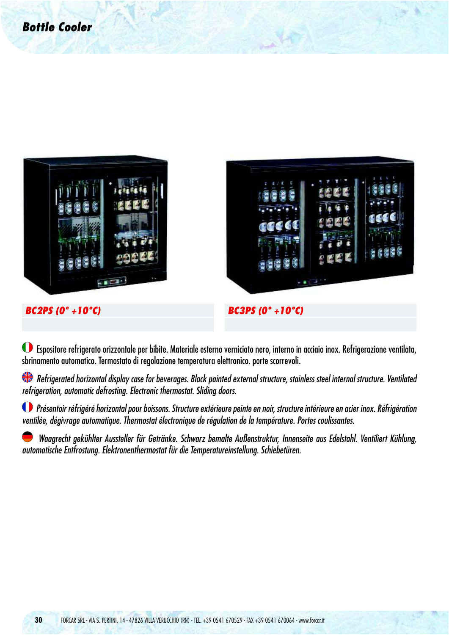

 Espositore refrigerato orizzontale per bibite. Materiale esterno verniciato nero, interno in acciaio inox. Refrigerazione ventilata, sbrinamento automatico. Termostato di regolazione temperatura elettronico. porte scorrevoli.

Refrigerated horizontal display case for beverages. Black painted external structure, stainless steel internal structure. Ventilated refrigeration, automatic defrosting. Electronic thermostat. Sliding doors.

 Présentoir réfrigéré horizontal pour boissons. Structure extérieure peinte en noir, structure intérieure en acier inox. Réfrigération ventilée, dégivrage automatique. Thermostat électronique de régulation de la température. Portes coulissantes.

 Waagrecht gekühlter Aussteller für Getränke. Schwarz bemalte Außenstruktur, Innenseite aus Edelstahl. Ventiliert Kühlung, automatische Entfrostung. Elektronenthermostat für die Temperatureinstellung. Schiebetüren.